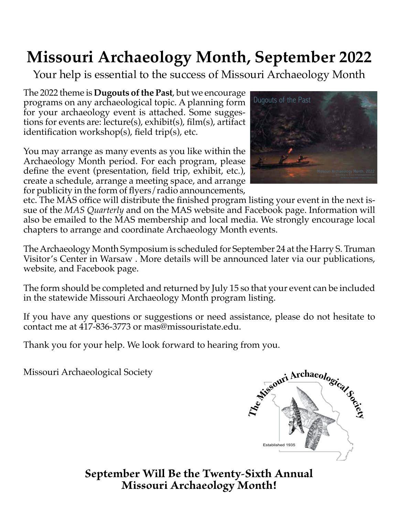## **Missouri Archaeology Month, September 2022**

Your help is essential to the success of Missouri Archaeology Month

The 2022 theme is **Dugouts of the Past**, but we encourage programs on any archaeological topic. A planning form for your archaeology event is attached. Some suggestions for events are: lecture(s), exhibit(s), film(s), artifact identification workshop(s), field trip(s), etc.

You may arrange as many events as you like within the Archaeology Month period. For each program, please define the event (presentation, field trip, exhibit, etc.), create a schedule, arrange a meeting space, and arrange for publicity in the form of flyers/radio announcements,



etc. The MAS office will distribute the finished program listing your event in the next issue of the *MAS Quarterly* and on the MAS website and Facebook page. Information will also be emailed to the MAS membership and local media. We strongly encourage local chapters to arrange and coordinate Archaeology Month events.

The Archaeology Month Symposium is scheduled for September 24 at the Harry S. Truman Visitor's Center in Warsaw . More details will be announced later via our publications, website, and Facebook page.

The form should be completed and returned by July 15 so that your event can be included in the statewide Missouri Archaeology Month program listing.

If you have any questions or suggestions or need assistance, please do not hesitate to contact me at 417-836-3773 or mas@missouristate.edu.

Thank you for your help. We look forward to hearing from you.

Missouri Archaeological Society



**September Will Be the Twenty-Sixth Annual Missouri Archaeology Month!**